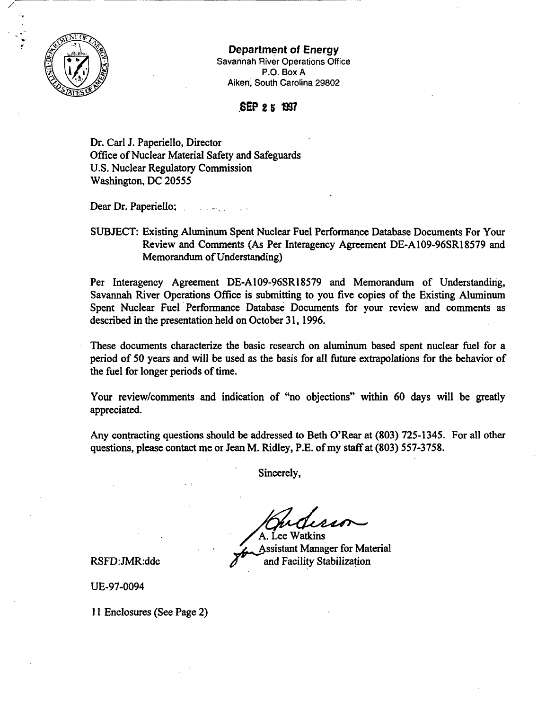

## Department of Energy

Savannah River Operations Office  $P.O.$  Box A Aiken, South Carolina 29802

## SEP 2 5 1997

Dr. Carl J. Paperiello, Director Office of Nuclear Material Safety and Safeguards U.S. Nuclear Regulatory Commission Washington, DC *20555*

Dear Dr. Paperiello;

## SUBJECT: Existing Aluminum Spent Nuclear Fuel Performance Database Documents For Your Review and Comments (As Per Interagency Agreement DE-A109-96SR18579 and Memorandum of Understanding)

Per Interagency Agreement DE-A109-96SR18579 and Memorandum of Understanding, Savannah River Operations Office is submitting to you five copies of the Existing Aluminum Spent Nuclear Fuel Performance Database Documents for your review and comments as described in the presentation held on October 31, 1996.

These documents characterize the basic research on aluminum based spent nuclear fuel for a period of 50 years and will be used as the basis for all future extrapolations for the behavior of the fuel for longer periods of time.

Your review/comments and indication of "no objections" within 60 days will be greatly appreciated.

Any contracting questions should be addressed to Beth O'Rear at (803) *725-1345.* For all other questions, please contact me or Jean M. Ridley, P.E. of my staff at (803) *557-3758.*

Sincerely,

A. Lee Watkins **Assistant Manager for Material** RSFD:JMR:ddc  $\delta$  and Facility Stabilization

UE-97-0094

11 Enclosures (See Page 2)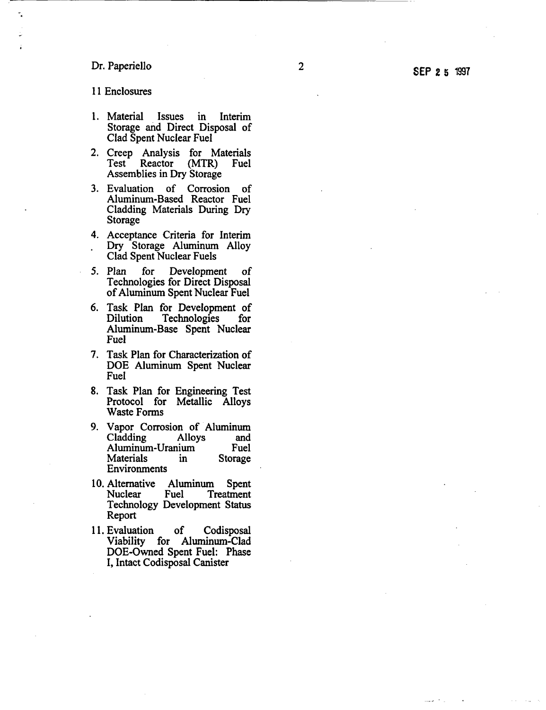## Dr. Paperiello 2002

11 Enclosures

- 1. Material Issues in Interim Storage and Direct Disposal of Clad Spent Nuclear Fuel
- 2. Creep Analysis for Materials<br>Test Reactor (MTR) Fuel Reactor Assemblies in Dry Storage
- 3. Evaluation of Corrosion of Aluminum-Based Reactor Fuel Cladding Materials During Dry Storage
- 4. Acceptance Criteria for Interim Dry Storage Aluminum Alloy Clad Spent Nuclear Fuels
- *5.* Plan for Development of Technologies for Direct Disposal of Aluminum Spent Nuclear Fuel
- 6. Task Plan for Development of Technologies Aluminum-Base Spent Nuclear Fuel
- 7. Task Plan for Characterization of DOE Aluminum Spent Nuclear Fuel
- 8. Task Plan for Engineering Test Protocol for Metallic Alloys Waste Forms
- 9. Vapor Corrosion of Aluminum Cladding Alloys and Aluminum-Uranium Fuel<br>Materials in Storage Materials in<br>Environments
- 10. Alternative Aluminum Spent<br>Nuclear Fuel Treatment **Treatment** Technology Development Status Report
- 11. Evaluation of Codisposal Viability for Aluminum-Clad DOE-Owned Spent Fuel: Phase I, Intact Codisposal Canister